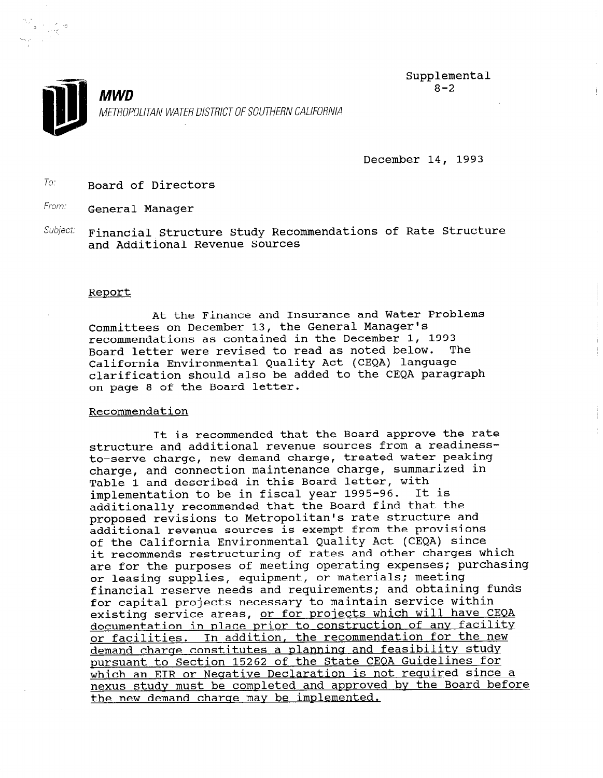

Ť



MWD METROPOLITAN WATER DISTRICT OF SOUTHERN CALIFORNIA

December 14, 1993

 $To:$  Board of Directors

From: **General Manager** 

Subject: Financial Structure Study Recommendations of Rate Structure and Additional Revenue Sources

## Report

At the Finance and Insurance and Water Problems Committees on December 13, the General Manager's recommendations as contained in the December 1, 1993 Board letter were revised to read as noted below. The California Environmental Quality Act (CEQA) language clarification should also be added to the CEQA paragraph on page 8 of the Board letter.

## Recommendation

It is recommended that the Board approve the rate structure and additional revenue sources from a readinessto-serve charge, new demand charge, treated water peaking charge, and connection maintenance charge, summarized in Table 1 and described in this Board letter, with implementation to be in fiscal year 1995-96. It is additionally recommended that the Board find that the proposed revisions to Metropolitan's rate structure and additional revenue sources is exempt from the provisions of the California Environmental Quality Act (CEQA) since it recommends restructuring of rates and other charges which are for the purposes of meeting operating expenses; purchasing or leasing supplies, equipment, or materials; meeting financial reserve needs and requirements; and obtaining funds for capital projects necessary to maintain service within existing service areas, or for projects which will have CEQA documentation in place prior to construction of any facility or facilities. In addition, the recommendation for the new demand charqe constitutes a planninq and feasibility study pursuant to Section 15262 of the State CEQA Guidelines for which an EIR or Neqative Declaration is not required since a nexus study must be completed and approved by the Board before the new demand charqe may be implemented.